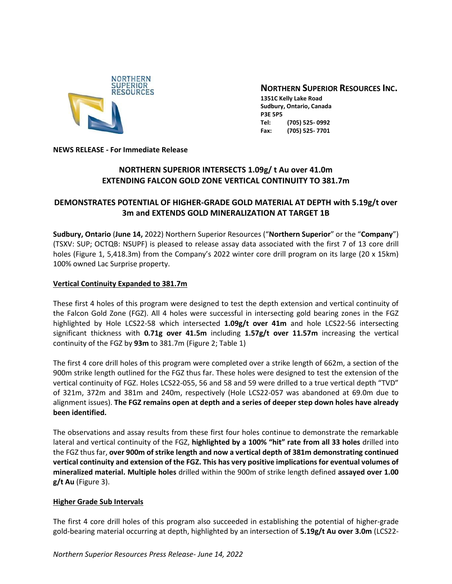

# **NORTHERN SUPERIOR RESOURCES INC.**

**1351C Kelly Lake Road Sudbury, Ontario, Canada P3E 5P5 Tel: (705) 525- 0992 Fax: (705) 525- 7701**

**NEWS RELEASE - For Immediate Release**

# **NORTHERN SUPERIOR INTERSECTS 1.09g/ t Au over 41.0m EXTENDING FALCON GOLD ZONE VERTICAL CONTINUITY TO 381.7m**

# **DEMONSTRATES POTENTIAL OF HIGHER-GRADE GOLD MATERIAL AT DEPTH with 5.19g/t over 3m and EXTENDS GOLD MINERALIZATION AT TARGET 1B**

**Sudbury, Ontario** (**June 14,** 2022) Northern Superior Resources ("**Northern Superior**" or the "**Company**") (TSXV: SUP; OCTQB: NSUPF) is pleased to release assay data associated with the first 7 of 13 core drill holes (Figure 1, 5,418.3m) from the Company's 2022 winter core drill program on its large (20 x 15km) 100% owned Lac Surprise property.

## **Vertical Continuity Expanded to 381.7m**

These first 4 holes of this program were designed to test the depth extension and vertical continuity of the Falcon Gold Zone (FGZ). All 4 holes were successful in intersecting gold bearing zones in the FGZ highlighted by Hole LCS22-58 which intersected **1.09g/t over 41m** and hole LCS22-56 intersecting significant thickness with **0.71g over 41.5m** including **1.57g/t over 11.57m** increasing the vertical continuity of the FGZ by **93m** to 381.7m (Figure 2; Table 1)

The first 4 core drill holes of this program were completed over a strike length of 662m, a section of the 900m strike length outlined for the FGZ thus far. These holes were designed to test the extension of the vertical continuity of FGZ. Holes LCS22-055, 56 and 58 and 59 were drilled to a true vertical depth "TVD" of 321m, 372m and 381m and 240m, respectively (Hole LCS22-057 was abandoned at 69.0m due to alignment issues). **The FGZ remains open at depth and a series of deeper step down holes have already been identified.**

The observations and assay results from these first four holes continue to demonstrate the remarkable lateral and vertical continuity of the FGZ, **highlighted by a 100% "hit" rate from all 33 holes** drilled into the FGZ thus far, **over 900m of strike length and now a vertical depth of 381m demonstrating continued vertical continuity and extension of the FGZ. This has very positive implications for eventual volumes of mineralized material. Multiple holes** drilled within the 900m of strike length defined **assayed over 1.00 g/t Au** (Figure 3).

## **Higher Grade Sub Intervals**

The first 4 core drill holes of this program also succeeded in establishing the potential of higher-grade gold-bearing material occurring at depth, highlighted by an intersection of **5.19g/t Au over 3.0m** (LCS22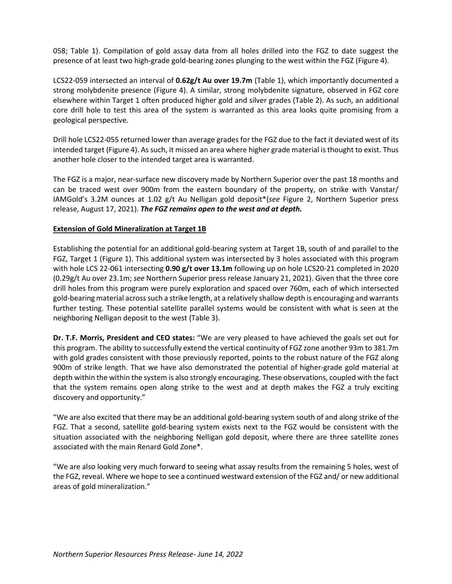058; Table 1). Compilation of gold assay data from all holes drilled into the FGZ to date suggest the presence of at least two high-grade gold-bearing zones plunging to the west within the FGZ (Figure 4).

LCS22-059 intersected an interval of **0.62g/t Au over 19.7m** (Table 1), which importantly documented a strong molybdenite presence (Figure 4). A similar, strong molybdenite signature, observed in FGZ core elsewhere within Target 1 often produced higher gold and silver grades (Table 2). As such, an additional core drill hole to test this area of the system is warranted as this area looks quite promising from a geological perspective.

Drill hole LCS22-055 returned lower than average grades for the FGZ due to the fact it deviated west of its intended target (Figure 4). As such, it missed an area where higher grade material is thought to exist. Thus another hole closer to the intended target area is warranted.

The FGZ is a major, near-surface new discovery made by Northern Superior over the past 18 months and can be traced west over 900m from the eastern boundary of the property, on strike with Vanstar/ IAMGold's 3.2M ounces at 1.02 g/t Au Nelligan gold deposit\*(*see* Figure 2, Northern Superior press release, August 17, 2021). *The FGZ remains open to the west and at depth.*

## **Extension of Gold Mineralization at Target 1B**

Establishing the potential for an additional gold-bearing system at Target 1B, south of and parallel to the FGZ, Target 1 (Figure 1). This additional system was intersected by 3 holes associated with this program with hole LCS 22-061 intersecting **0.90 g/t over 13.1m** following up on hole LCS20-21 completed in 2020 (0.29g/t Au over 23.1m; *see* Northern Superior press release January 21, 2021). Given that the three core drill holes from this program were purely exploration and spaced over 760m, each of which intersected gold-bearing material across such a strike length, at a relatively shallow depth is encouraging and warrants further testing. These potential satellite parallel systems would be consistent with what is seen at the neighboring Nelligan deposit to the west (Table 3).

**Dr. T.F. Morris, President and CEO states:** "We are very pleased to have achieved the goals set out for this program. The ability to successfully extend the vertical continuity of FGZ zone another 93m to 381.7m with gold grades consistent with those previously reported, points to the robust nature of the FGZ along 900m of strike length. That we have also demonstrated the potential of higher-grade gold material at depth within the within the system is also strongly encouraging. These observations, coupled with the fact that the system remains open along strike to the west and at depth makes the FGZ a truly exciting discovery and opportunity."

"We are also excited that there may be an additional gold-bearing system south of and along strike of the FGZ. That a second, satellite gold-bearing system exists next to the FGZ would be consistent with the situation associated with the neighboring Nelligan gold deposit, where there are three satellite zones associated with the main Renard Gold Zone\*.

"We are also looking very much forward to seeing what assay results from the remaining 5 holes, west of the FGZ, reveal. Where we hope to see a continued westward extension of the FGZ and/ or new additional areas of gold mineralization."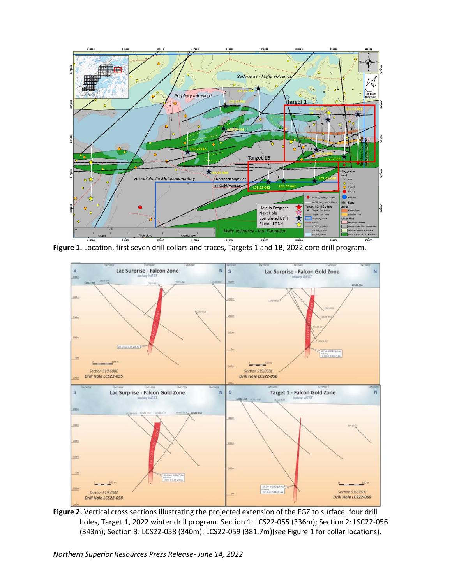

**Figure 1.** Location, first seven drill collars and traces, Targets 1 and 1B, 2022 core drill program.



Figure 2. Vertical cross sections illustrating the projected extension of the FGZ to surface, four drill holes, Target 1, 2022 winter drill program. Section 1: LCS22-055 (336m); Section 2: LSC22-056 (343m); Section 3: LCS22-058 (340m); LCS22-059 (381.7m)(*see* Figure 1 for collar locations).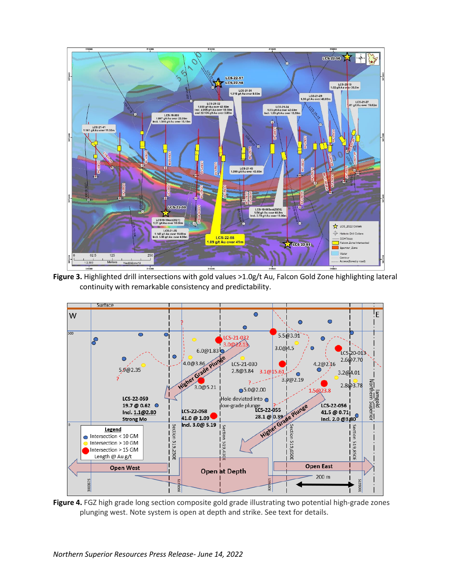

**Figure 3.** Highlighted drill intersections with gold values >1.0g/t Au, Falcon Gold Zone highlighting lateral continuity with remarkable consistency and predictability.



**Figure 4.** FGZ high grade long section composite gold grade illustrating two potential high-grade zones plunging west. Note system is open at depth and strike. See text for details.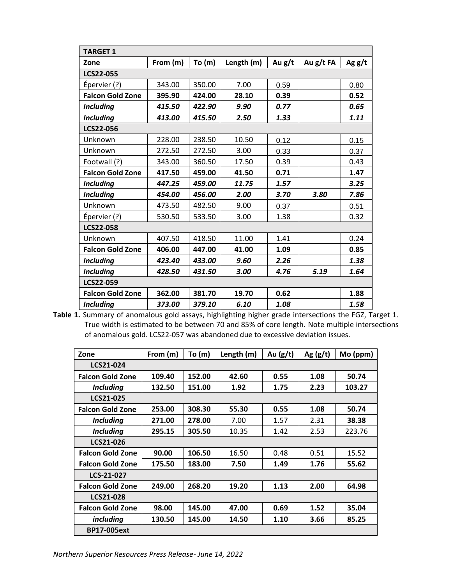| <b>TARGET 1</b>         |          |        |            |        |             |          |  |
|-------------------------|----------|--------|------------|--------|-------------|----------|--|
| Zone                    | From (m) | To(m)  | Length (m) | Au g/t | Au $g/t$ FA | Ag $g/t$ |  |
| <b>LCS22-055</b>        |          |        |            |        |             |          |  |
| Épervier (?)            | 343.00   | 350.00 | 7.00       | 0.59   |             | 0.80     |  |
| <b>Falcon Gold Zone</b> | 395.90   | 424.00 | 28.10      | 0.39   |             | 0.52     |  |
| <b>Including</b>        | 415.50   | 422.90 | 9.90       | 0.77   |             | 0.65     |  |
| <b>Including</b>        | 413.00   | 415.50 | 2.50       | 1.33   |             | 1.11     |  |
| <b>LCS22-056</b>        |          |        |            |        |             |          |  |
| Unknown                 | 228.00   | 238.50 | 10.50      | 0.12   |             | 0.15     |  |
| Unknown                 | 272.50   | 272.50 | 3.00       | 0.33   |             | 0.37     |  |
| Footwall (?)            | 343.00   | 360.50 | 17.50      | 0.39   |             | 0.43     |  |
| <b>Falcon Gold Zone</b> | 417.50   | 459.00 | 41.50      | 0.71   |             | 1.47     |  |
| <b>Including</b>        | 447.25   | 459.00 | 11.75      | 1.57   |             | 3.25     |  |
| <b>Including</b>        | 454.00   | 456.00 | 2.00       | 3.70   | 3.80        | 7.86     |  |
| Unknown                 | 473.50   | 482.50 | 9.00       | 0.37   |             | 0.51     |  |
| Épervier (?)            | 530.50   | 533.50 | 3.00       | 1.38   |             | 0.32     |  |
| <b>LCS22-058</b>        |          |        |            |        |             |          |  |
| Unknown                 | 407.50   | 418.50 | 11.00      | 1.41   |             | 0.24     |  |
| <b>Falcon Gold Zone</b> | 406.00   | 447.00 | 41.00      | 1.09   |             | 0.85     |  |
| <b>Including</b>        | 423.40   | 433.00 | 9.60       | 2.26   |             | 1.38     |  |
| <b>Including</b>        | 428.50   | 431.50 | 3.00       | 4.76   | 5.19        | 1.64     |  |
| LCS22-059               |          |        |            |        |             |          |  |
| <b>Falcon Gold Zone</b> | 362.00   | 381.70 | 19.70      | 0.62   |             | 1.88     |  |
| <b>Including</b>        | 373.00   | 379.10 | 6.10       | 1.08   |             | 1.58     |  |

**Table 1.** Summary of anomalous gold assays, highlighting higher grade intersections the FGZ, Target 1. True width is estimated to be between 70 and 85% of core length. Note multiple intersections of anomalous gold. LCS22-057 was abandoned due to excessive deviation issues.

| Zone                    | From (m) | To (m) | Length (m) | Au $(g/t)$ | Ag $(g/t)$ | $Mo$ (ppm) |  |
|-------------------------|----------|--------|------------|------------|------------|------------|--|
| LCS21-024               |          |        |            |            |            |            |  |
| <b>Falcon Gold Zone</b> | 109.40   | 152.00 | 42.60      | 0.55       | 1.08       | 50.74      |  |
| <b>Including</b>        | 132.50   | 151.00 | 1.92       | 1.75       | 2.23       | 103.27     |  |
| LCS21-025               |          |        |            |            |            |            |  |
| <b>Falcon Gold Zone</b> | 253.00   | 308.30 | 55.30      | 0.55       | 1.08       | 50.74      |  |
| <b>Including</b>        | 271.00   | 278.00 | 7.00       | 1.57       | 2.31       | 38.38      |  |
| <b>Including</b>        | 295.15   | 305.50 | 10.35      | 1.42       | 2.53       | 223.76     |  |
| LCS21-026               |          |        |            |            |            |            |  |
| <b>Falcon Gold Zone</b> | 90.00    | 106.50 | 16.50      | 0.48       | 0.51       | 15.52      |  |
| <b>Falcon Gold Zone</b> | 175.50   | 183.00 | 7.50       | 1.49       | 1.76       | 55.62      |  |
| LCS-21-027              |          |        |            |            |            |            |  |
| <b>Falcon Gold Zone</b> | 249.00   | 268.20 | 19.20      | 1.13       | 2.00       | 64.98      |  |
| <b>LCS21-028</b>        |          |        |            |            |            |            |  |
| <b>Falcon Gold Zone</b> | 98.00    | 145.00 | 47.00      | 0.69       | 1.52       | 35.04      |  |
| <i>including</i>        | 130.50   | 145.00 | 14.50      | 1.10       | 3.66       | 85.25      |  |
| <b>BP17-005ext</b>      |          |        |            |            |            |            |  |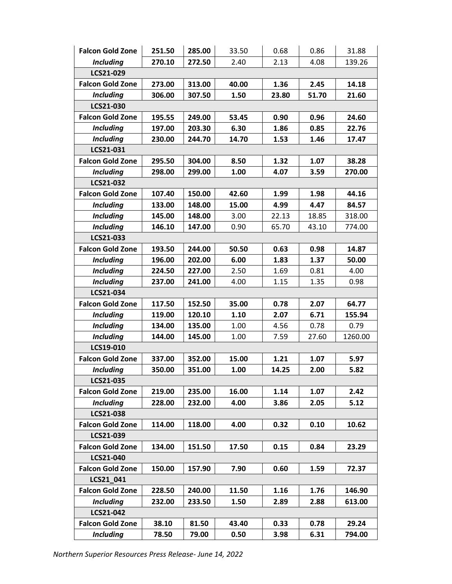| <b>Falcon Gold Zone</b> | 251.50 | 285.00 | 33.50 | 0.68  | 0.86  | 31.88   |  |  |
|-------------------------|--------|--------|-------|-------|-------|---------|--|--|
| <b>Including</b>        | 270.10 | 272.50 | 2.40  | 2.13  | 4.08  | 139.26  |  |  |
| LCS21-029               |        |        |       |       |       |         |  |  |
| <b>Falcon Gold Zone</b> | 273.00 | 313.00 | 40.00 | 1.36  | 2.45  | 14.18   |  |  |
| <b>Including</b>        | 306.00 | 307.50 | 1.50  | 23.80 | 51.70 | 21.60   |  |  |
| LCS21-030               |        |        |       |       |       |         |  |  |
| <b>Falcon Gold Zone</b> | 195.55 | 249.00 | 53.45 | 0.90  | 0.96  | 24.60   |  |  |
| <b>Including</b>        | 197.00 | 203.30 | 6.30  | 1.86  | 0.85  | 22.76   |  |  |
| <b>Including</b>        | 230.00 | 244.70 | 14.70 | 1.53  | 1.46  | 17.47   |  |  |
| LCS21-031               |        |        |       |       |       |         |  |  |
| <b>Falcon Gold Zone</b> | 295.50 | 304.00 | 8.50  | 1.32  | 1.07  | 38.28   |  |  |
| <b>Including</b>        | 298.00 | 299.00 | 1.00  | 4.07  | 3.59  | 270.00  |  |  |
| LCS21-032               |        |        |       |       |       |         |  |  |
| <b>Falcon Gold Zone</b> | 107.40 | 150.00 | 42.60 | 1.99  | 1.98  | 44.16   |  |  |
| <b>Including</b>        | 133.00 | 148.00 | 15.00 | 4.99  | 4.47  | 84.57   |  |  |
| <b>Including</b>        | 145.00 | 148.00 | 3.00  | 22.13 | 18.85 | 318.00  |  |  |
| <b>Including</b>        | 146.10 | 147.00 | 0.90  | 65.70 | 43.10 | 774.00  |  |  |
| LCS21-033               |        |        |       |       |       |         |  |  |
| <b>Falcon Gold Zone</b> | 193.50 | 244.00 | 50.50 | 0.63  | 0.98  | 14.87   |  |  |
| <b>Including</b>        | 196.00 | 202.00 | 6.00  | 1.83  | 1.37  | 50.00   |  |  |
| <b>Including</b>        | 224.50 | 227.00 | 2.50  | 1.69  | 0.81  | 4.00    |  |  |
| <b>Including</b>        | 237.00 | 241.00 | 4.00  | 1.15  | 1.35  | 0.98    |  |  |
| LCS21-034               |        |        |       |       |       |         |  |  |
| <b>Falcon Gold Zone</b> | 117.50 | 152.50 | 35.00 | 0.78  | 2.07  | 64.77   |  |  |
| <b>Including</b>        | 119.00 | 120.10 | 1.10  | 2.07  | 6.71  | 155.94  |  |  |
| <b>Including</b>        | 134.00 | 135.00 | 1.00  | 4.56  | 0.78  | 0.79    |  |  |
| <b>Including</b>        | 144.00 | 145.00 | 1.00  | 7.59  | 27.60 | 1260.00 |  |  |
| LCS19-010               |        |        |       |       |       |         |  |  |
| <b>Falcon Gold Zone</b> | 337.00 | 352.00 | 15.00 | 1.21  | 1.07  | 5.97    |  |  |
| <b>Including</b>        | 350.00 | 351.00 | 1.00  | 14.25 | 2.00  | 5.82    |  |  |
| LCS21-035               |        |        |       |       |       |         |  |  |
| <b>Falcon Gold Zone</b> | 219.00 | 235.00 | 16.00 | 1.14  | 1.07  | 2.42    |  |  |
| <b>Including</b>        | 228.00 | 232.00 | 4.00  | 3.86  | 2.05  | 5.12    |  |  |
| LCS21-038               |        |        |       |       |       |         |  |  |
| <b>Falcon Gold Zone</b> | 114.00 | 118.00 | 4.00  | 0.32  | 0.10  | 10.62   |  |  |
| LCS21-039               |        |        |       |       |       |         |  |  |
| <b>Falcon Gold Zone</b> | 134.00 | 151.50 | 17.50 | 0.15  | 0.84  | 23.29   |  |  |
| LCS21-040               |        |        |       |       |       |         |  |  |
| <b>Falcon Gold Zone</b> | 150.00 | 157.90 | 7.90  | 0.60  | 1.59  | 72.37   |  |  |
| LCS21_041               |        |        |       |       |       |         |  |  |
| <b>Falcon Gold Zone</b> | 228.50 | 240.00 | 11.50 | 1.16  | 1.76  | 146.90  |  |  |
| <b>Including</b>        | 232.00 | 233.50 | 1.50  | 2.89  | 2.88  | 613.00  |  |  |
| LCS21-042               |        |        |       |       |       |         |  |  |
| <b>Falcon Gold Zone</b> | 38.10  | 81.50  | 43.40 | 0.33  | 0.78  | 29.24   |  |  |
| <b>Including</b>        | 78.50  | 79.00  | 0.50  | 3.98  | 6.31  | 794.00  |  |  |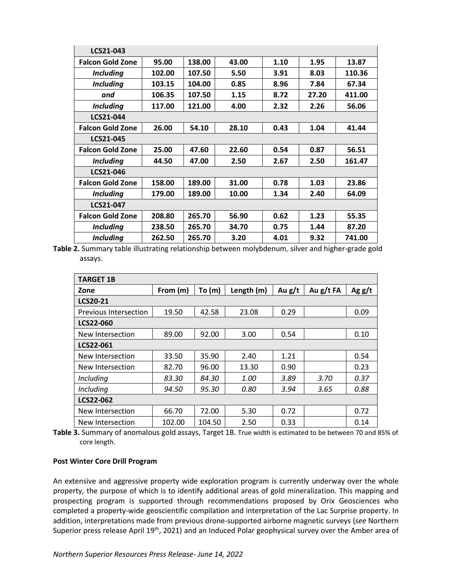| LCS21-043               |        |        |       |      |       |        |  |
|-------------------------|--------|--------|-------|------|-------|--------|--|
| <b>Falcon Gold Zone</b> | 95.00  | 138.00 | 43.00 | 1.10 | 1.95  | 13.87  |  |
| <b>Including</b>        | 102.00 | 107.50 | 5.50  | 3.91 | 8.03  | 110.36 |  |
| <b>Including</b>        | 103.15 | 104.00 | 0.85  | 8.96 | 7.84  | 67.34  |  |
| and                     | 106.35 | 107.50 | 1.15  | 8.72 | 27.20 | 411.00 |  |
| <b>Including</b>        | 117.00 | 121.00 | 4.00  | 2.32 | 2.26  | 56.06  |  |
| LCS21-044               |        |        |       |      |       |        |  |
| <b>Falcon Gold Zone</b> | 26.00  | 54.10  | 28.10 | 0.43 | 1.04  | 41.44  |  |
| LCS21-045               |        |        |       |      |       |        |  |
| <b>Falcon Gold Zone</b> | 25.00  | 47.60  | 22.60 | 0.54 | 0.87  | 56.51  |  |
| <b>Including</b>        | 44.50  | 47.00  | 2.50  | 2.67 | 2.50  | 161.47 |  |
| LCS21-046               |        |        |       |      |       |        |  |
| <b>Falcon Gold Zone</b> | 158.00 | 189.00 | 31.00 | 0.78 | 1.03  | 23.86  |  |
| <b>Including</b>        | 179.00 | 189.00 | 10.00 | 1.34 | 2.40  | 64.09  |  |
| LCS21-047               |        |        |       |      |       |        |  |
| <b>Falcon Gold Zone</b> | 208.80 | 265.70 | 56.90 | 0.62 | 1.23  | 55.35  |  |
| <b>Including</b>        | 238.50 | 265.70 | 34.70 | 0.75 | 1.44  | 87.20  |  |
| <b>Including</b>        | 262.50 | 265.70 | 3.20  | 4.01 | 9.32  | 741.00 |  |

**Table 2.** Summary table illustrating relationship between molybdenum, silver and higher-grade gold assays.

| <b>TARGET 1B</b>      |          |        |            |          |           |          |  |
|-----------------------|----------|--------|------------|----------|-----------|----------|--|
| Zone                  | From (m) | To(m)  | Length (m) | Au $g/t$ | Au g/t FA | Ag $g/t$ |  |
| <b>LCS20-21</b>       |          |        |            |          |           |          |  |
| Previous Intersection | 19.50    | 42.58  | 23.08      | 0.29     |           | 0.09     |  |
| <b>LCS22-060</b>      |          |        |            |          |           |          |  |
| New Intersection      | 89.00    | 92.00  | 3.00       | 0.54     |           | 0.10     |  |
| LCS22-061             |          |        |            |          |           |          |  |
| New Intersection      | 33.50    | 35.90  | 2.40       | 1.21     |           | 0.54     |  |
| New Intersection      | 82.70    | 96.00  | 13.30      | 0.90     |           | 0.23     |  |
| Including             | 83.30    | 84.30  | 1.00       | 3.89     | 3.70      | 0.37     |  |
| Including             | 94.50    | 95.30  | 0.80       | 3.94     | 3.65      | 0.88     |  |
| <b>LCS22-062</b>      |          |        |            |          |           |          |  |
| New Intersection      | 66.70    | 72.00  | 5.30       | 0.72     |           | 0.72     |  |
| New Intersection      | 102.00   | 104.50 | 2.50       | 0.33     |           | 0.14     |  |

**Table 3.** Summary of anomalous gold assays, Target 1B. True width is estimated to be between 70 and 85% of core length.

#### **Post Winter Core Drill Program**

An extensive and aggressive property wide exploration program is currently underway over the whole property, the purpose of which is to identify additional areas of gold mineralization. This mapping and prospecting program is supported through recommendations proposed by Orix Geosciences who completed a property-wide geoscientific compilation and interpretation of the Lac Surprise property. In addition, interpretations made from previous drone-supported airborne magnetic surveys (*see* Northern Superior press release April 19<sup>th</sup>, 2021) and an Induced Polar geophysical survey over the Amber area of